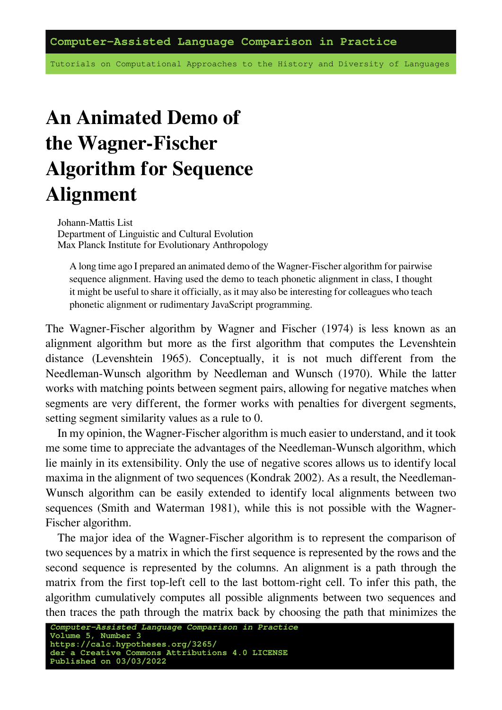Tutorials on Computational Approaches to the History and Diversity of Languages

## **An Animated Demo of the Wagner-Fischer Algorithm for Sequence Alignment**

Johann-Mattis List Department of Linguistic and Cultural Evolution Max Planck Institute for Evolutionary Anthropology

A long time ago I prepared an animated demo of the Wagner-Fischer algorithm for pairwise sequence alignment. Having used the demo to teach phonetic alignment in class, I thought it might be useful to share it officially, as it may also be interesting for colleagues who teach phonetic alignment or rudimentary JavaScript programming.

The Wagner-Fischer algorithm by Wagner and Fischer (1974) is less known as an alignment algorithm but more as the first algorithm that computes the Levenshtein distance (Levenshtein 1965). Conceptually, it is not much different from the Needleman-Wunsch algorithm by Needleman and Wunsch (1970). While the latter works with matching points between segment pairs, allowing for negative matches when segments are very different, the former works with penalties for divergent segments, setting segment similarity values as a rule to 0.

In my opinion, the Wagner-Fischer algorithm is much easier to understand, and it took me some time to appreciate the advantages of the Needleman-Wunsch algorithm, which lie mainly in its extensibility. Only the use of negative scores allows us to identify local maxima in the alignment of two sequences (Kondrak 2002). As a result, the Needleman-Wunsch algorithm can be easily extended to identify local alignments between two sequences (Smith and Waterman 1981), while this is not possible with the Wagner-Fischer algorithm.

The major idea of the Wagner-Fischer algorithm is to represent the comparison of two sequences by a matrix in which the first sequence is represented by the rows and the second sequence is represented by the columns. An alignment is a path through the matrix from the first top-left cell to the last bottom-right cell. To infer this path, the algorithm cumulatively computes all possible alignments between two sequences and then traces the path through the matrix back by choosing the path that minimizes the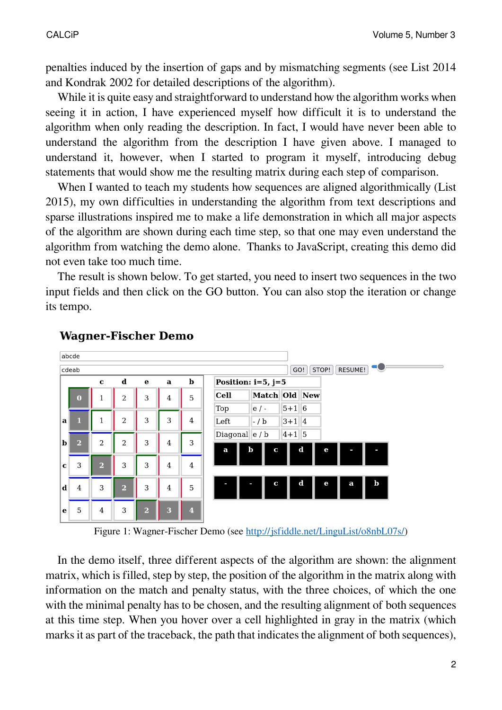penalties induced by the insertion of gaps and by mismatching segments (see List 2014 and Kondrak 2002 for detailed descriptions of the algorithm).

While it is quite easy and straightforward to understand how the algorithm works when seeing it in action, I have experienced myself how difficult it is to understand the algorithm when only reading the description. In fact, I would have never been able to understand the algorithm from the description I have given above. I managed to understand it, however, when I started to program it myself, introducing debug statements that would show me the resulting matrix during each step of comparison.

When I wanted to teach my students how sequences are aligned algorithmically (List 2015), my own difficulties in understanding the algorithm from text descriptions and sparse illustrations inspired me to make a life demonstration in which all major aspects of the algorithm are shown during each time step, so that one may even understand the algorithm from watching the demo alone. Thanks to JavaScript, creating this demo did not even take too much time.

The result is shown below. To get started, you need to insert two sequences in the two input fields and then click on the GO button. You can also stop the iteration or change its tempo.



## **Wagner-Fischer Demo**

Figure 1: Wagner-Fischer Demo (see [http://jsfiddle.net/LinguList/o8nbL07s/\)](http://jsfiddle.net/LinguList/o8nbL07s/)

In the demo itself, three different aspects of the algorithm are shown: the alignment matrix, which is filled, step by step, the position of the algorithm in the matrix along with information on the match and penalty status, with the three choices, of which the one with the minimal penalty has to be chosen, and the resulting alignment of both sequences at this time step. When you hover over a cell highlighted in gray in the matrix (which marks it as part of the traceback, the path that indicates the alignment of both sequences),